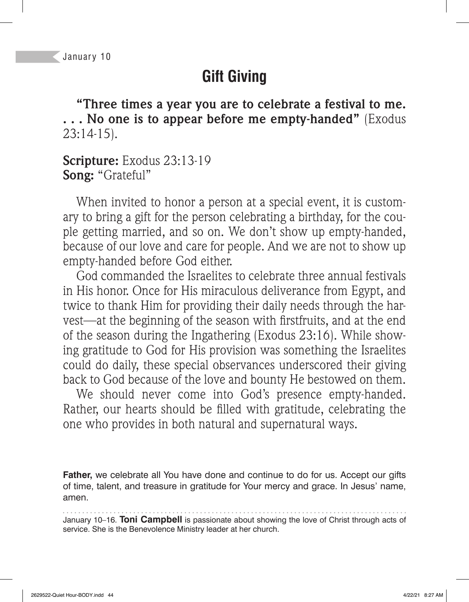## **Gift Giving**

**"Three times a year you are to celebrate a festival to me. . . . No one is to appear before me empty-handed"** (Exodus 23:14-15).

#### **Scripture:** Exodus 23:13-19 **Song:** "Grateful"

When invited to honor a person at a special event, it is customary to bring a gift for the person celebrating a birthday, for the couple getting married, and so on. We don't show up empty-handed, because of our love and care for people. And we are not to show up empty-handed before God either.

God commanded the Israelites to celebrate three annual festivals in His honor. Once for His miraculous deliverance from Egypt, and twice to thank Him for providing their daily needs through the harvest—at the beginning of the season with firstfruits, and at the end of the season during the Ingathering (Exodus 23:16). While showing gratitude to God for His provision was something the Israelites could do daily, these special observances underscored their giving back to God because of the love and bounty He bestowed on them.

We should never come into God's presence empty-handed. Rather, our hearts should be filled with gratitude, celebrating the one who provides in both natural and supernatural ways.

**Father,** we celebrate all You have done and continue to do for us. Accept our gifts of time, talent, and treasure in gratitude for Your mercy and grace. In Jesus' name, amen.

January 10–16. **Toni Campbell** is passionate about showing the love of Christ through acts of service. She is the Benevolence Ministry leader at her church.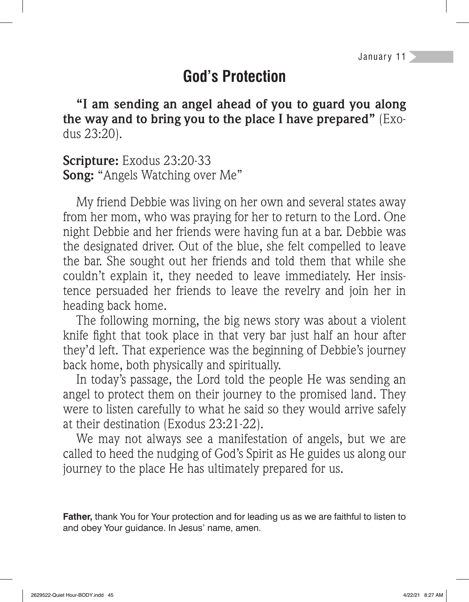## **God's Protection**

**"I am sending an angel ahead of you to guard you along the way and to bring you to the place I have prepared"** (Exodus 23:20).

**Scripture:** Exodus 23:20-33 **Song:** "Angels Watching over Me"

My friend Debbie was living on her own and several states away from her mom, who was praying for her to return to the Lord. One night Debbie and her friends were having fun at a bar. Debbie was the designated driver. Out of the blue, she felt compelled to leave the bar. She sought out her friends and told them that while she couldn't explain it, they needed to leave immediately. Her insistence persuaded her friends to leave the revelry and join her in heading back home.

The following morning, the big news story was about a violent knife fight that took place in that very bar just half an hour after they'd left. That experience was the beginning of Debbie's journey back home, both physically and spiritually.

In today's passage, the Lord told the people He was sending an angel to protect them on their journey to the promised land. They were to listen carefully to what he said so they would arrive safely at their destination (Exodus 23:21-22).

We may not always see a manifestation of angels, but we are called to heed the nudging of God's Spirit as He guides us along our journey to the place He has ultimately prepared for us.

**Father,** thank You for Your protection and for leading us as we are faithful to listen to and obey Your guidance. In Jesus' name, amen.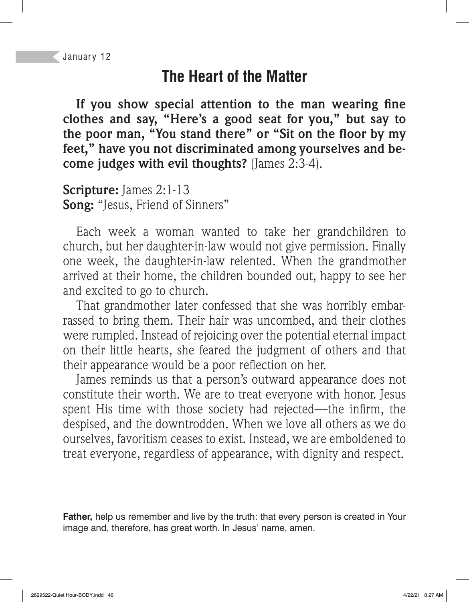## **The Heart of the Matter**

If you show special attention to the man wearing fine **clothes and say, "Here's a good seat for you," but say to**  the poor man, "You stand there" or "Sit on the floor by my **feet," have you not discriminated among yourselves and become judges with evil thoughts?** (James 2:3-4).

**Scripture:** James 2:1-13 **Song:** "Jesus, Friend of Sinners"

Each week a woman wanted to take her grandchildren to church, but her daughter-in-law would not give permission. Finally one week, the daughter-in-law relented. When the grandmother arrived at their home, the children bounded out, happy to see her and excited to go to church.

That grandmother later confessed that she was horribly embarrassed to bring them. Their hair was uncombed, and their clothes were rumpled. Instead of rejoicing over the potential eternal impact on their little hearts, she feared the judgment of others and that their appearance would be a poor reflection on her.

James reminds us that a person's outward appearance does not constitute their worth. We are to treat everyone with honor. Jesus spent His time with those society had rejected—the infirm, the despised, and the downtrodden. When we love all others as we do ourselves, favoritism ceases to exist. Instead, we are emboldened to treat everyone, regardless of appearance, with dignity and respect.

**Father,** help us remember and live by the truth: that every person is created in Your image and, therefore, has great worth. In Jesus' name, amen.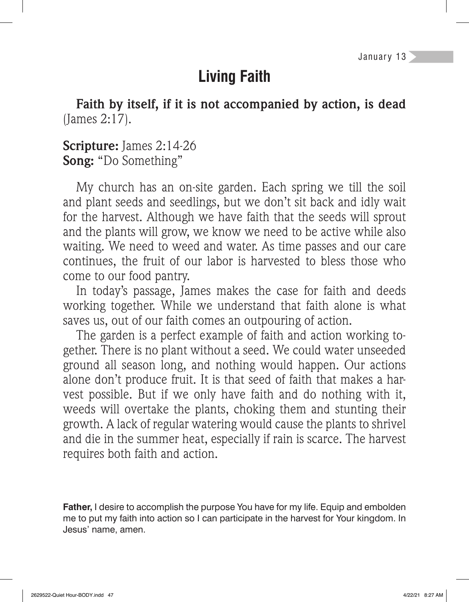# **Living Faith**

**Faith by itself, if it is not accompanied by action, is dead**  (James 2:17).

#### **Scripture:** James 2:14-26 **Song:** "Do Something"

My church has an on-site garden. Each spring we till the soil and plant seeds and seedlings, but we don't sit back and idly wait for the harvest. Although we have faith that the seeds will sprout and the plants will grow, we know we need to be active while also waiting. We need to weed and water. As time passes and our care continues, the fruit of our labor is harvested to bless those who come to our food pantry.

In today's passage, James makes the case for faith and deeds working together. While we understand that faith alone is what saves us, out of our faith comes an outpouring of action.

The garden is a perfect example of faith and action working together. There is no plant without a seed. We could water unseeded ground all season long, and nothing would happen. Our actions alone don't produce fruit. It is that seed of faith that makes a harvest possible. But if we only have faith and do nothing with it, weeds will overtake the plants, choking them and stunting their growth. A lack of regular watering would cause the plants to shrivel and die in the summer heat, especially if rain is scarce. The harvest requires both faith and action.

**Father,** I desire to accomplish the purpose You have for my life. Equip and embolden me to put my faith into action so I can participate in the harvest for Your kingdom. In Jesus' name, amen.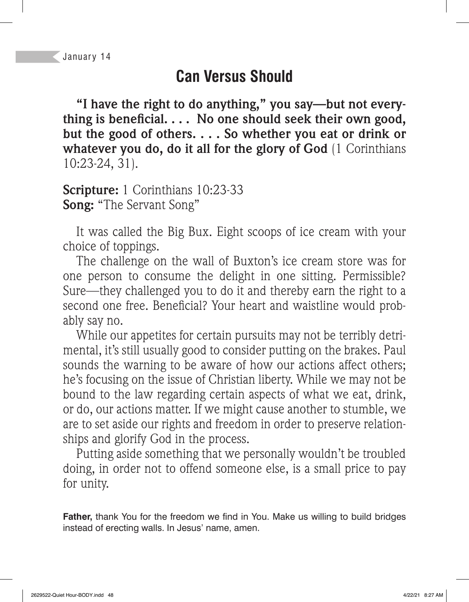## **Can Versus Should**

**"I have the right to do anything," you say—but not every**thing is beneficial. . . . No one should seek their own good, **but the good of others. . . . So whether you eat or drink or whatever you do, do it all for the glory of God** (1 Corinthians 10:23-24, 31).

**Scripture:** 1 Corinthians 10:23-33 **Song:** "The Servant Song"

It was called the Big Bux. Eight scoops of ice cream with your choice of toppings.

The challenge on the wall of Buxton's ice cream store was for one person to consume the delight in one sitting. Permissible? Sure—they challenged you to do it and thereby earn the right to a second one free. Beneficial? Your heart and waistline would probably say no.

While our appetites for certain pursuits may not be terribly detrimental, it's still usually good to consider putting on the brakes. Paul sounds the warning to be aware of how our actions affect others; he's focusing on the issue of Christian liberty. While we may not be bound to the law regarding certain aspects of what we eat, drink, or do, our actions matter. If we might cause another to stumble, we are to set aside our rights and freedom in order to preserve relationships and glorify God in the process.

Putting aside something that we personally wouldn't be troubled doing, in order not to offend someone else, is a small price to pay for unity.

Father, thank You for the freedom we find in You. Make us willing to build bridges instead of erecting walls. In Jesus' name, amen.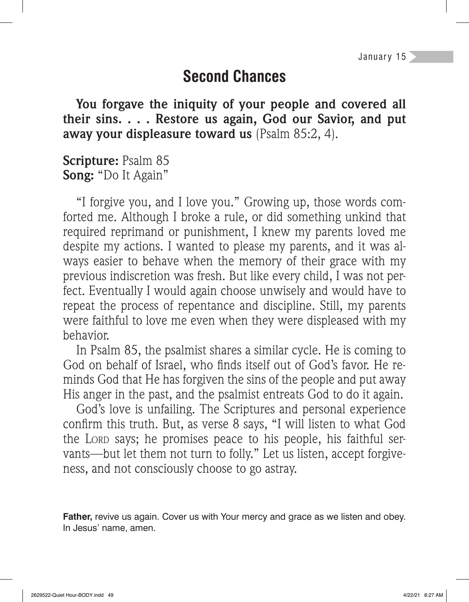## **Second Chances**

**You forgave the iniquity of your people and covered all their sins. . . . Restore us again, God our Savior, and put away your displeasure toward us** (Psalm 85:2, 4).

**Scripture:** Psalm 85 **Song:** "Do It Again"

"I forgive you, and I love you." Growing up, those words comforted me. Although I broke a rule, or did something unkind that required reprimand or punishment, I knew my parents loved me despite my actions. I wanted to please my parents, and it was always easier to behave when the memory of their grace with my previous indiscretion was fresh. But like every child, I was not perfect. Eventually I would again choose unwisely and would have to repeat the process of repentance and discipline. Still, my parents were faithful to love me even when they were displeased with my behavior.

In Psalm 85, the psalmist shares a similar cycle. He is coming to God on behalf of Israel, who finds itself out of God's favor. He reminds God that He has forgiven the sins of the people and put away His anger in the past, and the psalmist entreats God to do it again.

God's love is unfailing. The Scriptures and personal experience confirm this truth. But, as verse 8 says, "I will listen to what God the LORD says; he promises peace to his people, his faithful servants—but let them not turn to folly." Let us listen, accept forgiveness, and not consciously choose to go astray.

**Father,** revive us again. Cover us with Your mercy and grace as we listen and obey. In Jesus' name, amen.